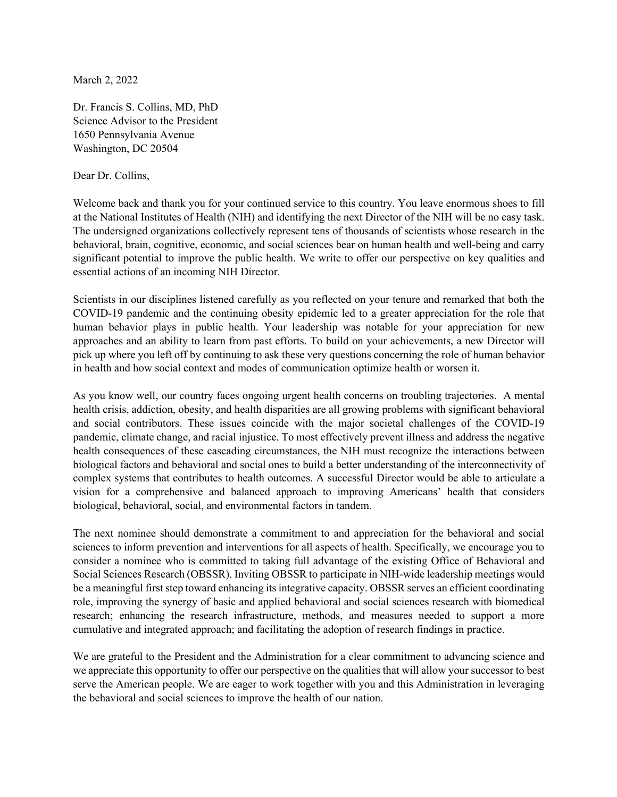March 2, 2022

Dr. Francis S. Collins, MD, PhD Science Advisor to the President 1650 Pennsylvania Avenue Washington, DC 20504

## Dear Dr. Collins,

Welcome back and thank you for your continued service to this country. You leave enormous shoes to fill at the National Institutes of Health (NIH) and identifying the next Director of the NIH will be no easy task. The undersigned organizations collectively represent tens of thousands of scientists whose research in the behavioral, brain, cognitive, economic, and social sciences bear on human health and well-being and carry significant potential to improve the public health. We write to offer our perspective on key qualities and essential actions of an incoming NIH Director.

Scientists in our disciplines listened carefully as you reflected on your tenure and remarked that both the COVID-19 pandemic and the continuing obesity epidemic led to a greater appreciation for the role that human behavior plays in public health. Your leadership was notable for your appreciation for new approaches and an ability to learn from past efforts. To build on your achievements, a new Director will pick up where you left off by continuing to ask these very questions concerning the role of human behavior in health and how social context and modes of communication optimize health or worsen it.

As you know well, our country faces ongoing urgent health concerns on troubling trajectories. A mental health crisis, addiction, obesity, and health disparities are all growing problems with significant behavioral and social contributors. These issues coincide with the major societal challenges of the COVID-19 pandemic, climate change, and racial injustice. To most effectively prevent illness and address the negative health consequences of these cascading circumstances, the NIH must recognize the interactions between biological factors and behavioral and social ones to build a better understanding of the interconnectivity of complex systems that contributes to health outcomes. A successful Director would be able to articulate a vision for a comprehensive and balanced approach to improving Americans' health that considers biological, behavioral, social, and environmental factors in tandem.

The next nominee should demonstrate a commitment to and appreciation for the behavioral and social sciences to inform prevention and interventions for all aspects of health. Specifically, we encourage you to consider a nominee who is committed to taking full advantage of the existing Office of Behavioral and Social Sciences Research (OBSSR). Inviting OBSSR to participate in NIH-wide leadership meetings would be a meaningful first step toward enhancing its integrative capacity. OBSSR serves an efficient coordinating role, improving the synergy of basic and applied behavioral and social sciences research with biomedical research; enhancing the research infrastructure, methods, and measures needed to support a more cumulative and integrated approach; and facilitating the adoption of research findings in practice.

We are grateful to the President and the Administration for a clear commitment to advancing science and we appreciate this opportunity to offer our perspective on the qualities that will allow your successor to best serve the American people. We are eager to work together with you and this Administration in leveraging the behavioral and social sciences to improve the health of our nation.